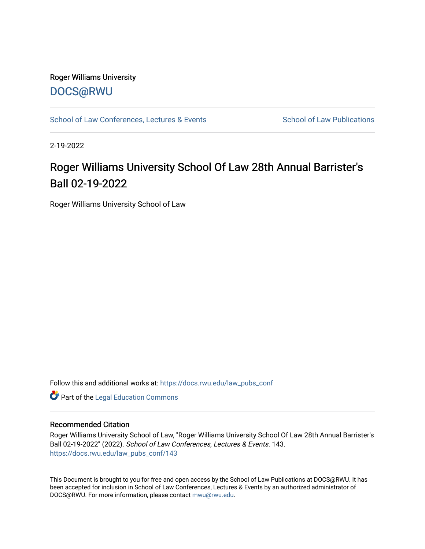## Roger Williams University [DOCS@RWU](https://docs.rwu.edu/)

[School of Law Conferences, Lectures & Events](https://docs.rwu.edu/law_pubs_conf) School of Law Publications

2-19-2022

# Roger Williams University School Of Law 28th Annual Barrister's Ball 02-19-2022

Roger Williams University School of Law

Follow this and additional works at: [https://docs.rwu.edu/law\\_pubs\\_conf](https://docs.rwu.edu/law_pubs_conf?utm_source=docs.rwu.edu%2Flaw_pubs_conf%2F143&utm_medium=PDF&utm_campaign=PDFCoverPages) 

**Part of the Legal Education Commons** 

#### Recommended Citation

Roger Williams University School of Law, "Roger Williams University School Of Law 28th Annual Barrister's Ball 02-19-2022" (2022). School of Law Conferences, Lectures & Events. 143. [https://docs.rwu.edu/law\\_pubs\\_conf/143](https://docs.rwu.edu/law_pubs_conf/143?utm_source=docs.rwu.edu%2Flaw_pubs_conf%2F143&utm_medium=PDF&utm_campaign=PDFCoverPages) 

This Document is brought to you for free and open access by the School of Law Publications at DOCS@RWU. It has been accepted for inclusion in School of Law Conferences, Lectures & Events by an authorized administrator of DOCS@RWU. For more information, please contact [mwu@rwu.edu.](mailto:mwu@rwu.edu)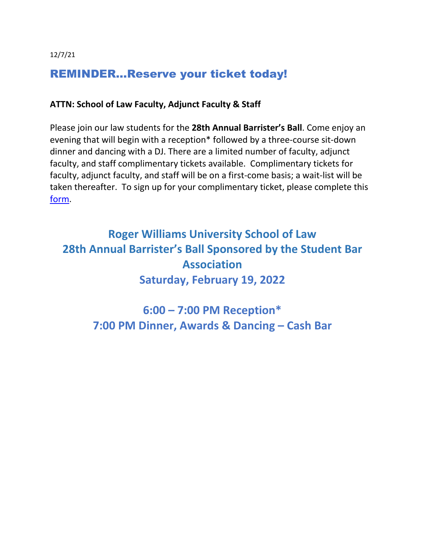12/7/21

# REMINDER…Reserve your ticket today!

### **ATTN: School of Law Faculty, Adjunct Faculty & Staff**

Please join our law students for the **28th Annual Barrister's Ball**. Come enjoy an evening that will begin with a reception\* followed by a three-course sit-down dinner and dancing with a DJ. There are a limited number of faculty, adjunct faculty, and staff complimentary tickets available. Complimentary tickets for faculty, adjunct faculty, and staff will be on a first-come basis; a wait-list will be taken thereafter. To sign up for your complimentary ticket, please complete this [form.](https://nam02.safelinks.protection.outlook.com/?url=https%3A%2F%2Fdocs.google.com%2Fforms%2Fd%2Fe%2F1FAIpQLScEgvEKiYD11l0G9Ypd_KKQ8D-bxIIM-O1axKZpLxHE1HbO3Q%2Fviewform&data=04%7C01%7Ckmacandrew%40RWU.EDU%7Cfc8996e021374d93833308d9b98b1338%7Cd84edea239e2410aa672331c49c8c4e2%7C0%7C0%7C637744829257108467%7CUnknown%7CTWFpbGZsb3d8eyJWIjoiMC4wLjAwMDAiLCJQIjoiV2luMzIiLCJBTiI6Ik1haWwiLCJXVCI6Mn0%3D%7C3000&sdata=4Jfh4RCuYBrvq0%2BNQhha9RvKc%2FPV8N%2FcJRP6bfBM4AA%3D&reserved=0)

# **Roger Williams University School of Law 28th Annual Barrister's Ball Sponsored by the Student Bar Association Saturday, February 19, 2022**

**6:00 – 7:00 PM Reception\* 7:00 PM Dinner, Awards & Dancing – Cash Bar**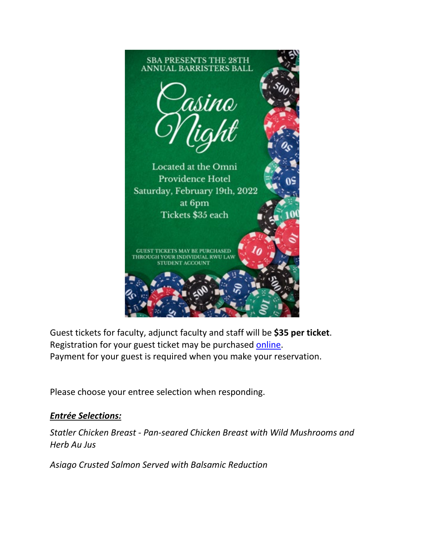

Guest tickets for faculty, adjunct faculty and staff will be **\$35 per ticket**. Registration for your guest ticket may be purchased [online.](https://nam02.safelinks.protection.outlook.com/?url=https%3A%2F%2Frwutickets.universitytickets.com%2Fw%2Fevent.aspx%3Fid%3D1837&data=04%7C01%7Ckmacandrew%40RWU.EDU%7Cfc8996e021374d93833308d9b98b1338%7Cd84edea239e2410aa672331c49c8c4e2%7C0%7C0%7C637744829257108467%7CUnknown%7CTWFpbGZsb3d8eyJWIjoiMC4wLjAwMDAiLCJQIjoiV2luMzIiLCJBTiI6Ik1haWwiLCJXVCI6Mn0%3D%7C3000&sdata=ripy%2FD7AJ7hs0oM8NLquhHeP5ujGcxlyoTlst18GsXE%3D&reserved=0) Payment for your guest is required when you make your reservation.

Please choose your entree selection when responding.

## *Entrée Selections:*

*Statler Chicken Breast - Pan-seared Chicken Breast with Wild Mushrooms and Herb Au Jus* 

*Asiago Crusted Salmon Served with Balsamic Reduction*